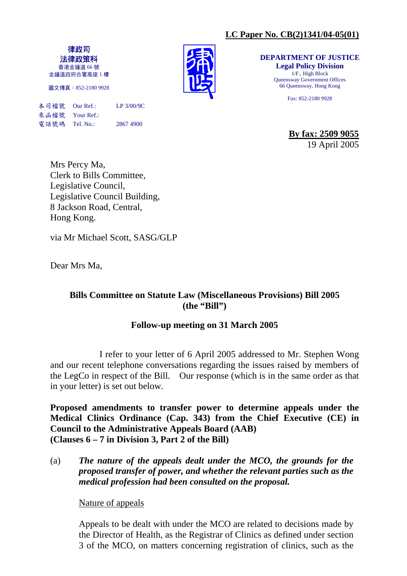# **LC Paper No. CB(2)1341/04-05(01)**

律政司 法律政策科 香港金鐘道 66 號 金鐘道政府合署高座 1 樓

圖文傳真:852-2180 9928

本司檔號 Our Ref.: LP 3/00/9C 來函檔號 Your Ref.: 電話號碼 Tel. No.: 2867 4900



**DEPARTMENT OF JUSTICE Legal Policy Division**  1/F., High Block Queensway Government Offices 66 Queensway, Hong Kong

Fax: 852-2180 9928

**By fax: 2509 9055** 19 April 2005

Mrs Percy Ma, Clerk to Bills Committee, Legislative Council, Legislative Council Building, 8 Jackson Road, Central, Hong Kong.

via Mr Michael Scott, SASG/GLP

Dear Mrs Ma,

# **Bills Committee on Statute Law (Miscellaneous Provisions) Bill 2005 (the "Bill")**

#### **Follow-up meeting on 31 March 2005**

 I refer to your letter of 6 April 2005 addressed to Mr. Stephen Wong and our recent telephone conversations regarding the issues raised by members of the LegCo in respect of the Bill. Our response (which is in the same order as that in your letter) is set out below.

**Proposed amendments to transfer power to determine appeals under the Medical Clinics Ordinance (Cap. 343) from the Chief Executive (CE) in Council to the Administrative Appeals Board (AAB) (Clauses 6 – 7 in Division 3, Part 2 of the Bill)** 

(a) *The nature of the appeals dealt under the MCO, the grounds for the proposed transfer of power, and whether the relevant parties such as the medical profession had been consulted on the proposal.* 

#### Nature of appeals

Appeals to be dealt with under the MCO are related to decisions made by the Director of Health, as the Registrar of Clinics as defined under section 3 of the MCO, on matters concerning registration of clinics, such as the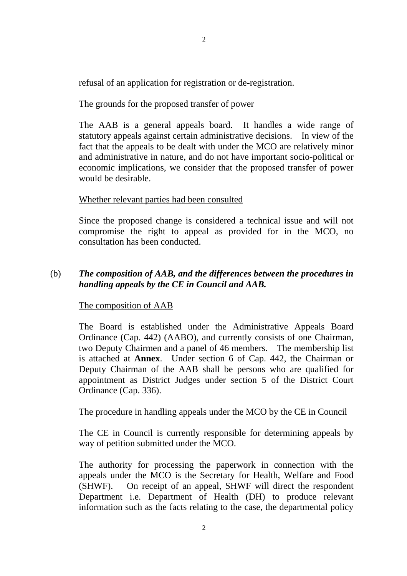refusal of an application for registration or de-registration.

#### The grounds for the proposed transfer of power

The AAB is a general appeals board. It handles a wide range of statutory appeals against certain administrative decisions. In view of the fact that the appeals to be dealt with under the MCO are relatively minor and administrative in nature, and do not have important socio-political or economic implications, we consider that the proposed transfer of power would be desirable.

#### Whether relevant parties had been consulted

Since the proposed change is considered a technical issue and will not compromise the right to appeal as provided for in the MCO, no consultation has been conducted.

#### (b) *The composition of AAB, and the differences between the procedures in handling appeals by the CE in Council and AAB.*

#### The composition of AAB

The Board is established under the Administrative Appeals Board Ordinance (Cap. 442) (AABO), and currently consists of one Chairman, two Deputy Chairmen and a panel of 46 members. The membership list is attached at **Annex**. Under section 6 of Cap. 442, the Chairman or Deputy Chairman of the AAB shall be persons who are qualified for appointment as District Judges under section 5 of the District Court Ordinance (Cap. 336).

#### The procedure in handling appeals under the MCO by the CE in Council

The CE in Council is currently responsible for determining appeals by way of petition submitted under the MCO.

The authority for processing the paperwork in connection with the appeals under the MCO is the Secretary for Health, Welfare and Food (SHWF). On receipt of an appeal, SHWF will direct the respondent Department i.e. Department of Health (DH) to produce relevant information such as the facts relating to the case, the departmental policy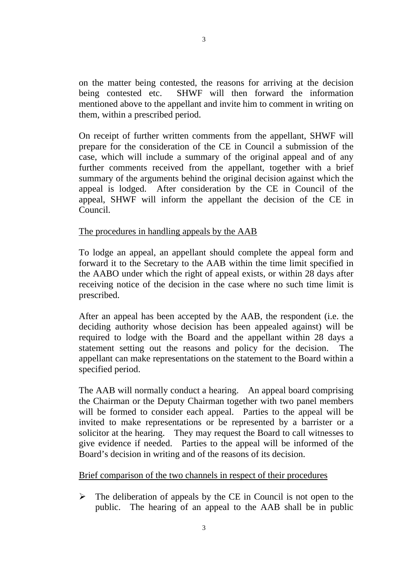on the matter being contested, the reasons for arriving at the decision being contested etc. SHWF will then forward the information mentioned above to the appellant and invite him to comment in writing on them, within a prescribed period.

On receipt of further written comments from the appellant, SHWF will prepare for the consideration of the CE in Council a submission of the case, which will include a summary of the original appeal and of any further comments received from the appellant, together with a brief summary of the arguments behind the original decision against which the appeal is lodged. After consideration by the CE in Council of the appeal, SHWF will inform the appellant the decision of the CE in Council.

#### The procedures in handling appeals by the AAB

To lodge an appeal, an appellant should complete the appeal form and forward it to the Secretary to the AAB within the time limit specified in the AABO under which the right of appeal exists, or within 28 days after receiving notice of the decision in the case where no such time limit is prescribed.

After an appeal has been accepted by the AAB, the respondent (i.e. the deciding authority whose decision has been appealed against) will be required to lodge with the Board and the appellant within 28 days a statement setting out the reasons and policy for the decision. The appellant can make representations on the statement to the Board within a specified period.

The AAB will normally conduct a hearing. An appeal board comprising the Chairman or the Deputy Chairman together with two panel members will be formed to consider each appeal. Parties to the appeal will be invited to make representations or be represented by a barrister or a solicitor at the hearing. They may request the Board to call witnesses to give evidence if needed. Parties to the appeal will be informed of the Board's decision in writing and of the reasons of its decision.

#### Brief comparison of the two channels in respect of their procedures

 $\triangleright$  The deliberation of appeals by the CE in Council is not open to the public. The hearing of an appeal to the AAB shall be in public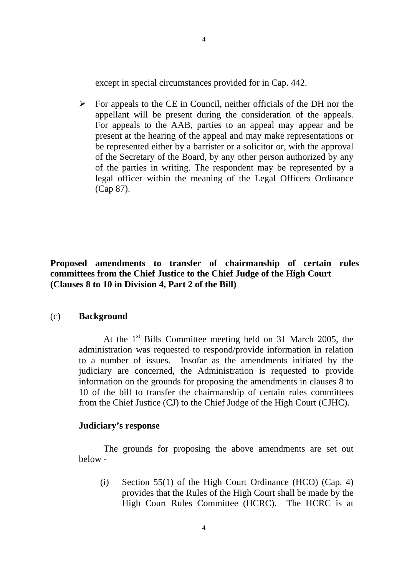except in special circumstances provided for in Cap. 442.

 $\triangleright$  For appeals to the CE in Council, neither officials of the DH nor the appellant will be present during the consideration of the appeals. For appeals to the AAB, parties to an appeal may appear and be present at the hearing of the appeal and may make representations or be represented either by a barrister or a solicitor or, with the approval of the Secretary of the Board, by any other person authorized by any of the parties in writing. The respondent may be represented by a legal officer within the meaning of the Legal Officers Ordinance (Cap 87).

#### **Proposed amendments to transfer of chairmanship of certain rules committees from the Chief Justice to the Chief Judge of the High Court (Clauses 8 to 10 in Division 4, Part 2 of the Bill)**

#### (c) **Background**

At the  $1<sup>st</sup>$  Bills Committee meeting held on 31 March 2005, the administration was requested to respond/provide information in relation to a number of issues. Insofar as the amendments initiated by the judiciary are concerned, the Administration is requested to provide information on the grounds for proposing the amendments in clauses 8 to 10 of the bill to transfer the chairmanship of certain rules committees from the Chief Justice (CJ) to the Chief Judge of the High Court (CJHC).

#### **Judiciary's response**

 The grounds for proposing the above amendments are set out below -

 (i) Section 55(1) of the High Court Ordinance (HCO) (Cap. 4) provides that the Rules of the High Court shall be made by the High Court Rules Committee (HCRC). The HCRC is at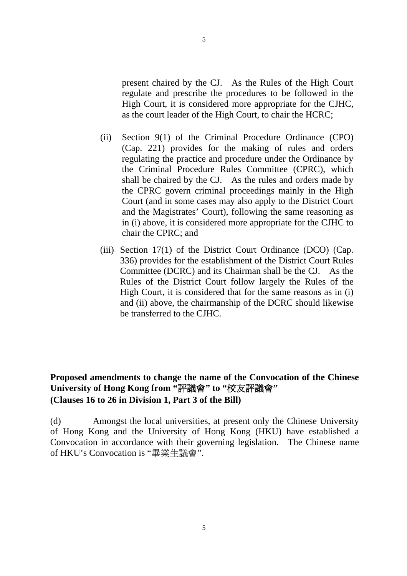present chaired by the CJ. As the Rules of the High Court regulate and prescribe the procedures to be followed in the High Court, it is considered more appropriate for the CJHC, as the court leader of the High Court, to chair the HCRC;

- (ii) Section 9(1) of the Criminal Procedure Ordinance (CPO) (Cap. 221) provides for the making of rules and orders regulating the practice and procedure under the Ordinance by the Criminal Procedure Rules Committee (CPRC), which shall be chaired by the CJ. As the rules and orders made by the CPRC govern criminal proceedings mainly in the High Court (and in some cases may also apply to the District Court and the Magistrates' Court), following the same reasoning as in (i) above, it is considered more appropriate for the CJHC to chair the CPRC; and
- (iii) Section 17(1) of the District Court Ordinance (DCO) (Cap. 336) provides for the establishment of the District Court Rules Committee (DCRC) and its Chairman shall be the CJ. As the Rules of the District Court follow largely the Rules of the High Court, it is considered that for the same reasons as in (i) and (ii) above, the chairmanship of the DCRC should likewise be transferred to the CJHC.

# **Proposed amendments to change the name of the Convocation of the Chinese University of Hong Kong from "**評議會**" to "**校友評議會**" (Clauses 16 to 26 in Division 1, Part 3 of the Bill)**

(d) Amongst the local universities, at present only the Chinese University of Hong Kong and the University of Hong Kong (HKU) have established a Convocation in accordance with their governing legislation. The Chinese name of HKU's Convocation is "畢業生議會".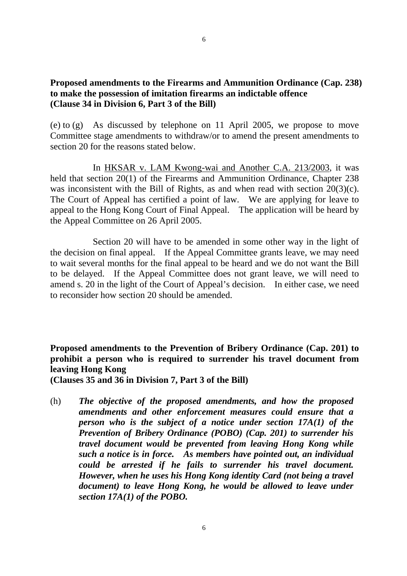#### **Proposed amendments to the Firearms and Ammunition Ordinance (Cap. 238) to make the possession of imitation firearms an indictable offence (Clause 34 in Division 6, Part 3 of the Bill)**

(e) to (g) As discussed by telephone on 11 April 2005, we propose to move Committee stage amendments to withdraw/or to amend the present amendments to section 20 for the reasons stated below.

 In HKSAR v. LAM Kwong-wai and Another C.A. 213/2003, it was held that section 20(1) of the Firearms and Ammunition Ordinance, Chapter 238 was inconsistent with the Bill of Rights, as and when read with section 20(3)(c). The Court of Appeal has certified a point of law. We are applying for leave to appeal to the Hong Kong Court of Final Appeal. The application will be heard by the Appeal Committee on 26 April 2005.

 Section 20 will have to be amended in some other way in the light of the decision on final appeal. If the Appeal Committee grants leave, we may need to wait several months for the final appeal to be heard and we do not want the Bill to be delayed. If the Appeal Committee does not grant leave, we will need to amend s. 20 in the light of the Court of Appeal's decision. In either case, we need to reconsider how section 20 should be amended.

**Proposed amendments to the Prevention of Bribery Ordinance (Cap. 201) to prohibit a person who is required to surrender his travel document from leaving Hong Kong** 

**(Clauses 35 and 36 in Division 7, Part 3 of the Bill)** 

(h) *The objective of the proposed amendments, and how the proposed amendments and other enforcement measures could ensure that a person who is the subject of a notice under section 17A(1) of the Prevention of Bribery Ordinance (POBO) (Cap. 201) to surrender his travel document would be prevented from leaving Hong Kong while such a notice is in force. As members have pointed out, an individual could be arrested if he fails to surrender his travel document. However, when he uses his Hong Kong identity Card (not being a travel document) to leave Hong Kong, he would be allowed to leave under section 17A(1) of the POBO.*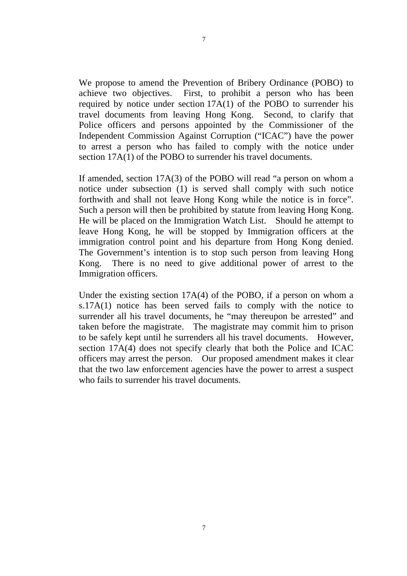We propose to amend the Prevention of Bribery Ordinance (POBO) to achieve two objectives. First, to prohibit a person who has been required by notice under section  $17A(1)$  of the POBO to surrender his travel documents from leaving Hong Kong. Second, to clarify that Police officers and persons appointed by the Commissioner of the Independent Commission Against Corruption ("ICAC") have the power to arrest a person who has failed to comply with the notice under section  $17A(1)$  of the POBO to surrender his travel documents.

If amended, section 17A(3) of the POBO will read "a person on whom a notice under subsection (1) is served shall comply with such notice forthwith and shall not leave Hong Kong while the notice is in force". Such a person will then be prohibited by statute from leaving Hong Kong. He will be placed on the Immigration Watch List. Should he attempt to leave Hong Kong, he will be stopped by Immigration officers at the immigration control point and his departure from Hong Kong denied. The Government's intention is to stop such person from leaving Hong Kong. There is no need to give additional power of arrest to the Immigration officers.

Under the existing section 17A(4) of the POBO, if a person on whom a s.17A(1) notice has been served fails to comply with the notice to surrender all his travel documents, he "may thereupon be arrested" and taken before the magistrate. The magistrate may commit him to prison to be safely kept until he surrenders all his travel documents. However, section 17A(4) does not specify clearly that both the Police and ICAC officers may arrest the person. Our proposed amendment makes it clear that the two law enforcement agencies have the power to arrest a suspect who fails to surrender his travel documents.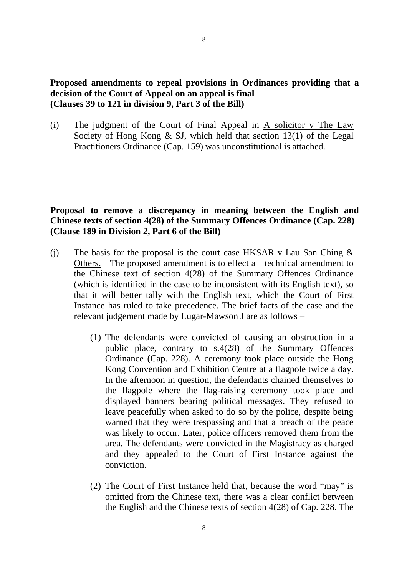#### **Proposed amendments to repeal provisions in Ordinances providing that a decision of the Court of Appeal on an appeal is final (Clauses 39 to 121 in division 9, Part 3 of the Bill)**

(i) The judgment of the Court of Final Appeal in A solicitor v The Law Society of Hong Kong  $\&$  SJ, which held that section 13(1) of the Legal Practitioners Ordinance (Cap. 159) was unconstitutional is attached.

#### **Proposal to remove a discrepancy in meaning between the English and Chinese texts of section 4(28) of the Summary Offences Ordinance (Cap. 228) (Clause 189 in Division 2, Part 6 of the Bill)**

- (i) The basis for the proposal is the court case HKSAR v Lau San Ching  $\&$ Others. The proposed amendment is to effect a technical amendment to the Chinese text of section 4(28) of the Summary Offences Ordinance (which is identified in the case to be inconsistent with its English text), so that it will better tally with the English text, which the Court of First Instance has ruled to take precedence. The brief facts of the case and the relevant judgement made by Lugar-Mawson J are as follows –
	- (1) The defendants were convicted of causing an obstruction in a public place, contrary to s.4(28) of the Summary Offences Ordinance (Cap. 228). A ceremony took place outside the Hong Kong Convention and Exhibition Centre at a flagpole twice a day. In the afternoon in question, the defendants chained themselves to the flagpole where the flag-raising ceremony took place and displayed banners bearing political messages. They refused to leave peacefully when asked to do so by the police, despite being warned that they were trespassing and that a breach of the peace was likely to occur. Later, police officers removed them from the area. The defendants were convicted in the Magistracy as charged and they appealed to the Court of First Instance against the conviction.
	- (2) The Court of First Instance held that, because the word "may" is omitted from the Chinese text, there was a clear conflict between the English and the Chinese texts of section 4(28) of Cap. 228. The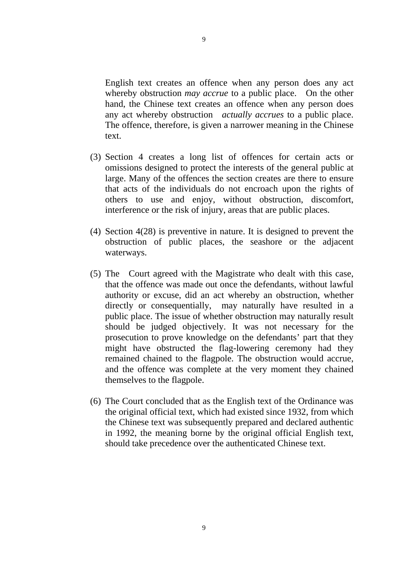English text creates an offence when any person does any act whereby obstruction *may accrue* to a public place. On the other hand, the Chinese text creates an offence when any person does any act whereby obstruction *actually accrues* to a public place. The offence, therefore, is given a narrower meaning in the Chinese text.

- (3) Section 4 creates a long list of offences for certain acts or omissions designed to protect the interests of the general public at large. Many of the offences the section creates are there to ensure that acts of the individuals do not encroach upon the rights of others to use and enjoy, without obstruction, discomfort, interference or the risk of injury, areas that are public places.
- (4) Section 4(28) is preventive in nature. It is designed to prevent the obstruction of public places, the seashore or the adjacent waterways.
- (5) The Court agreed with the Magistrate who dealt with this case, that the offence was made out once the defendants, without lawful authority or excuse, did an act whereby an obstruction, whether directly or consequentially, may naturally have resulted in a public place. The issue of whether obstruction may naturally result should be judged objectively. It was not necessary for the prosecution to prove knowledge on the defendants' part that they might have obstructed the flag-lowering ceremony had they remained chained to the flagpole. The obstruction would accrue, and the offence was complete at the very moment they chained themselves to the flagpole.
- (6) The Court concluded that as the English text of the Ordinance was the original official text, which had existed since 1932, from which the Chinese text was subsequently prepared and declared authentic in 1992, the meaning borne by the original official English text, should take precedence over the authenticated Chinese text.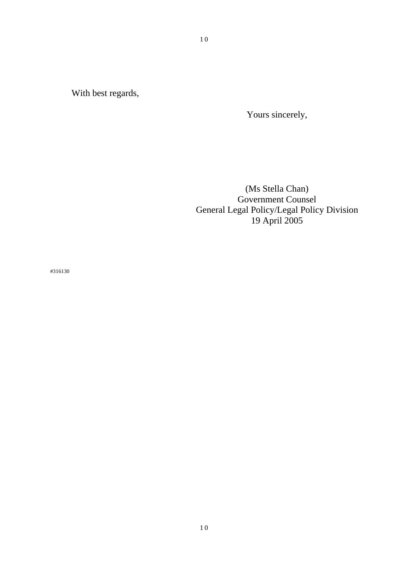With best regards,

Yours sincerely,

(Ms Stella Chan) Government Counsel General Legal Policy/Legal Policy Division 19 April 2005

#316130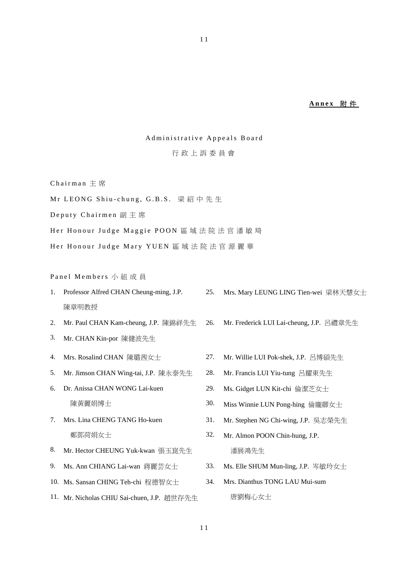#### **Annex** 附 件

#### Administrative Appeals Board

#### 行政上訴委員會

Chairman 主 席

Mr LEONG Shiu-chung, G.B.S. 梁紹中先生

Deputy Chairmen 副主席

Her Honour Judge Maggie POON 區域法院法官潘敏琦

Her Honour Judge Mary YUEN 區域法院法官源麗華

Panel Members 小組成員

- 1. Professor Alfred CHAN Cheung-ming, J.P. 陳章明教授 25. Mrs. Mary LEUNG LING Tien-wei 梁林天慧女士
- 2. Mr. Paul CHAN Kam-cheung, J.P. 陳錦祥先生
- 3. Mr. CHAN Kin-por 陳健波先生
- 
- 5. Mr. Jimson CHAN Wing-tai, J.P. 陳永泰先生 28. Mr. Francis LUI Yiu-tung 呂耀東先生
- 6. Dr. Anissa CHAN WONG Lai-kuen 陳黃麗娟博士
- 7. Mrs. Lina CHENG TANG Ho-kuen 鄭鄧荷娟女士
- 8. Mr. Hector CHEUNG Yuk-kwan 張玉崑先生
- 
- 10. Ms. Sansan CHING Teh-chi 程德智女士
- 11. Mr. Nicholas CHIU Sai-chuen, J.P. 趙世存先生

4. Mrs. Rosalind CHAN 陳璐茜女士 27. Mr. Willie LUI Pok-shek, J.P. 呂博碩先生

26. Mr. Frederick LUI Lai-cheung, J.P. 呂禮章先生

- 
- 29. Ms. Gidget LUN Kit-chi 倫潔芝女士
- 30. Miss Winnie LUN Pong-hing 倫龐卿女士
- 31. Mr. Stephen NG Chi-wing, J.P. 吳志榮先生
- 32. Mr. Almon POON Chin-hung, J.P. 潘展鴻先生
- 9. Ms. Ann CHIANG Lai-wan 蔣麗芸女士 33. Ms. Elle SHUM Mun-ling, J.P. 岑敏玲女士
	- 34. Mrs. Dianthus TONG LAU Mui-sum 唐劉梅心女士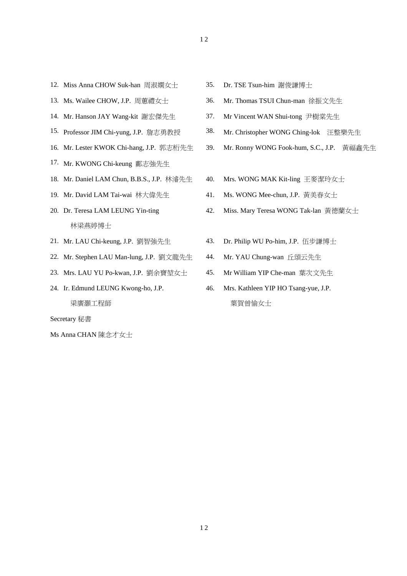- 1 2
- 12. Miss Anna CHOW Suk-han 周淑嫻女士 35. Dr. TSE Tsun-him 謝俊謙博士
- 
- 14. Mr. Hanson JAY Wang-kit 謝宏傑先生
- 15. Professor JIM Chi-yung, J.P. 詹志勇教授
- 16. Mr. Lester KWOK Chi-hang, J.P. 郭志桁先生
- 17. Mr. KWONG Chi-keung 鄺志強先生
- 
- 
- 20. Dr. Teresa LAM LEUNG Yin-ting 林梁燕婷博士
- 
- 22. Mr. Stephen LAU Man-lung, J.P. 劉文龍先生 44. Mr. YAU Chung-wan 丘頌云先生
- 23. Mrs. LAU YU Po-kwan, J.P. 劉余寶女士 45. Mr William YIP Che-man 葉次文先生
- 24. Ir. Edmund LEUNG Kwong-ho, J.P. 梁廣灝工程師

Secretary 秘書

Ms Anna CHAN 陳念才女士

- 
- 13. Ms. Wailee CHOW, J.P. 周蕙禮女士 36. Mr. Thomas TSUI Chun-man 徐振文先生
	- 37. Mr Vincent WAN Shui-tong 尹樹棠先生
	- 38. Mr. Christopher WONG Ching-lok 汪整樂先生
	- 39. Mr. Ronny WONG Fook-hum, S.C., J.P. 黃福鑫先生
- 18. Mr. Daniel LAM Chun, B.B.S., J.P. 林濬先生 40. Mrs. WONG MAK Kit-ling 王麥潔玲女士
- 19. Mr. David LAM Tai-wai 林大偉先生 41. Ms. WONG Mee-chun, J.P. 黃美春女士
	- 42. Miss. Mary Teresa WONG Tak-lan 黃德蘭女士
- 21. Mr. LAU Chi-keung, J.P. 劉智強先生 43. Dr. Philip WU Po-him, J.P. 伍步謙博士
	-
	-
	- 46. Mrs. Kathleen YIP HO Tsang-yue, J.P. 葉賀曾愉女士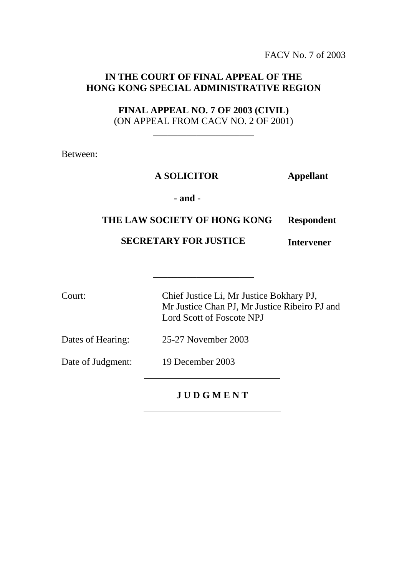FACV No. 7 of 2003

# **IN THE COURT OF FINAL APPEAL OF THE HONG KONG SPECIAL ADMINISTRATIVE REGION**

**FINAL APPEAL NO. 7 OF 2003 (CIVIL)**  (ON APPEAL FROM CACV NO. 2 OF 2001)

\_\_\_\_\_\_\_\_\_\_\_\_\_\_\_\_\_\_\_\_\_

Between:

#### **A SOLICITOR Appellant**

#### **- and -**

#### **THE LAW SOCIETY OF HONG KONG Respondent**

\_\_\_\_\_\_\_\_\_\_\_\_\_\_\_\_\_\_\_\_\_

#### **SECRETARY FOR JUSTICE Intervener**

Court: Chief Justice Li, Mr Justice Bokhary PJ, Mr Justice Chan PJ, Mr Justice Ribeiro PJ and Lord Scott of Foscote NPJ

Dates of Hearing: 25-27 November 2003

Date of Judgment: 19 December 2003

**J U D G M E N T**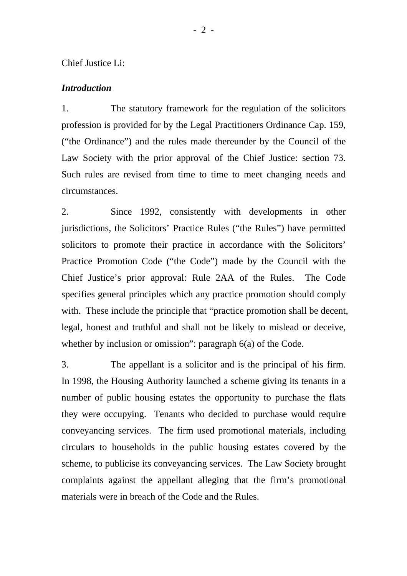#### Chief Justice Li:

#### *Introduction*

1. The statutory framework for the regulation of the solicitors profession is provided for by the Legal Practitioners Ordinance Cap. 159, ("the Ordinance") and the rules made thereunder by the Council of the Law Society with the prior approval of the Chief Justice: section 73. Such rules are revised from time to time to meet changing needs and circumstances.

2. Since 1992, consistently with developments in other jurisdictions, the Solicitors' Practice Rules ("the Rules") have permitted solicitors to promote their practice in accordance with the Solicitors' Practice Promotion Code ("the Code") made by the Council with the Chief Justice's prior approval: Rule 2AA of the Rules. The Code specifies general principles which any practice promotion should comply with. These include the principle that "practice promotion shall be decent, legal, honest and truthful and shall not be likely to mislead or deceive, whether by inclusion or omission": paragraph 6(a) of the Code.

3. The appellant is a solicitor and is the principal of his firm. In 1998, the Housing Authority launched a scheme giving its tenants in a number of public housing estates the opportunity to purchase the flats they were occupying. Tenants who decided to purchase would require conveyancing services. The firm used promotional materials, including circulars to households in the public housing estates covered by the scheme, to publicise its conveyancing services. The Law Society brought complaints against the appellant alleging that the firm's promotional materials were in breach of the Code and the Rules.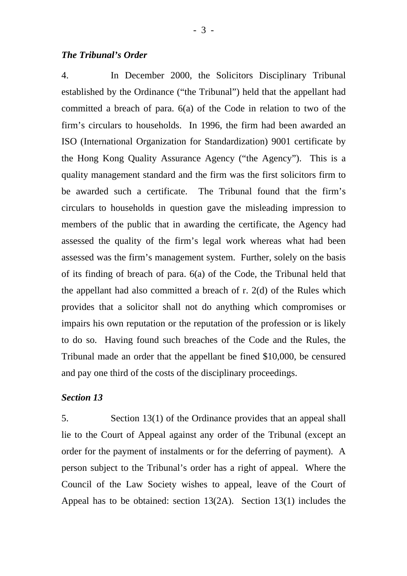4. In December 2000, the Solicitors Disciplinary Tribunal established by the Ordinance ("the Tribunal") held that the appellant had committed a breach of para. 6(a) of the Code in relation to two of the firm's circulars to households. In 1996, the firm had been awarded an ISO (International Organization for Standardization) 9001 certificate by the Hong Kong Quality Assurance Agency ("the Agency"). This is a quality management standard and the firm was the first solicitors firm to be awarded such a certificate. The Tribunal found that the firm's circulars to households in question gave the misleading impression to members of the public that in awarding the certificate, the Agency had assessed the quality of the firm's legal work whereas what had been assessed was the firm's management system. Further, solely on the basis of its finding of breach of para. 6(a) of the Code, the Tribunal held that the appellant had also committed a breach of r. 2(d) of the Rules which provides that a solicitor shall not do anything which compromises or impairs his own reputation or the reputation of the profession or is likely to do so. Having found such breaches of the Code and the Rules, the Tribunal made an order that the appellant be fined \$10,000, be censured and pay one third of the costs of the disciplinary proceedings.

#### *Section 13*

5. Section 13(1) of the Ordinance provides that an appeal shall lie to the Court of Appeal against any order of the Tribunal (except an order for the payment of instalments or for the deferring of payment). A person subject to the Tribunal's order has a right of appeal. Where the Council of the Law Society wishes to appeal, leave of the Court of Appeal has to be obtained: section 13(2A). Section 13(1) includes the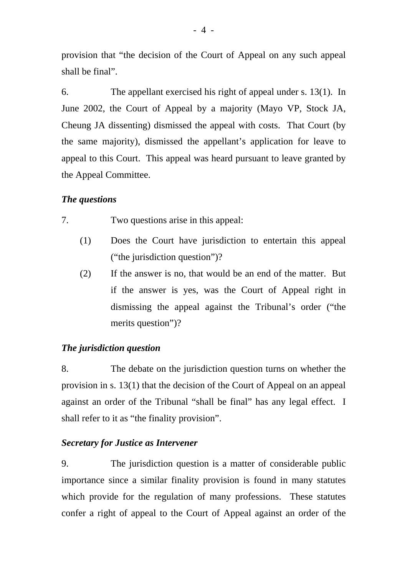provision that "the decision of the Court of Appeal on any such appeal shall be final".

6. The appellant exercised his right of appeal under s. 13(1). In June 2002, the Court of Appeal by a majority (Mayo VP, Stock JA, Cheung JA dissenting) dismissed the appeal with costs. That Court (by the same majority), dismissed the appellant's application for leave to appeal to this Court. This appeal was heard pursuant to leave granted by the Appeal Committee.

#### *The questions*

7. Two questions arise in this appeal:

- (1) Does the Court have jurisdiction to entertain this appeal ("the jurisdiction question")?
- (2) If the answer is no, that would be an end of the matter. But if the answer is yes, was the Court of Appeal right in dismissing the appeal against the Tribunal's order ("the merits question")?

#### *The jurisdiction question*

8. The debate on the jurisdiction question turns on whether the provision in s. 13(1) that the decision of the Court of Appeal on an appeal against an order of the Tribunal "shall be final" has any legal effect. I shall refer to it as "the finality provision".

#### *Secretary for Justice as Intervener*

9. The jurisdiction question is a matter of considerable public importance since a similar finality provision is found in many statutes which provide for the regulation of many professions. These statutes confer a right of appeal to the Court of Appeal against an order of the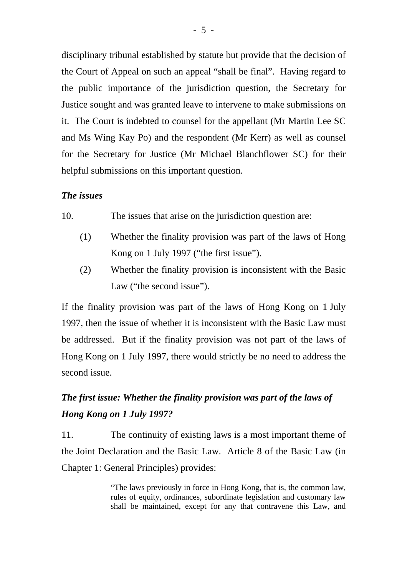disciplinary tribunal established by statute but provide that the decision of the Court of Appeal on such an appeal "shall be final". Having regard to the public importance of the jurisdiction question, the Secretary for Justice sought and was granted leave to intervene to make submissions on it. The Court is indebted to counsel for the appellant (Mr Martin Lee SC and Ms Wing Kay Po) and the respondent (Mr Kerr) as well as counsel for the Secretary for Justice (Mr Michael Blanchflower SC) for their helpful submissions on this important question.

#### *The issues*

10. The issues that arise on the jurisdiction question are:

- (1) Whether the finality provision was part of the laws of Hong Kong on 1 July 1997 ("the first issue").
- (2) Whether the finality provision is inconsistent with the Basic Law ("the second issue").

If the finality provision was part of the laws of Hong Kong on 1 July 1997, then the issue of whether it is inconsistent with the Basic Law must be addressed. But if the finality provision was not part of the laws of Hong Kong on 1 July 1997, there would strictly be no need to address the second issue.

# *The first issue: Whether the finality provision was part of the laws of Hong Kong on 1 July 1997?*

11. The continuity of existing laws is a most important theme of the Joint Declaration and the Basic Law. Article 8 of the Basic Law (in Chapter 1: General Principles) provides:

> "The laws previously in force in Hong Kong, that is, the common law, rules of equity, ordinances, subordinate legislation and customary law shall be maintained, except for any that contravene this Law, and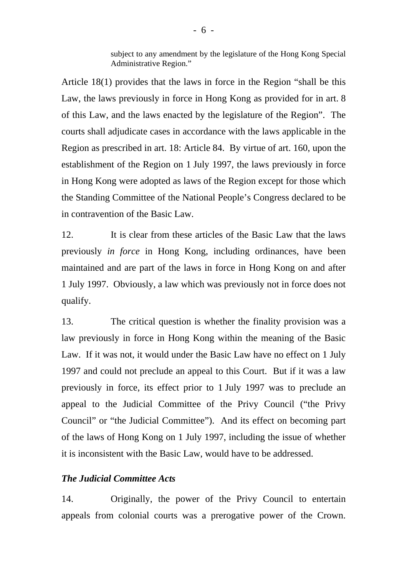subject to any amendment by the legislature of the Hong Kong Special Administrative Region."

Article 18(1) provides that the laws in force in the Region "shall be this Law, the laws previously in force in Hong Kong as provided for in art. 8 of this Law, and the laws enacted by the legislature of the Region". The courts shall adjudicate cases in accordance with the laws applicable in the Region as prescribed in art. 18: Article 84. By virtue of art. 160, upon the establishment of the Region on 1 July 1997, the laws previously in force in Hong Kong were adopted as laws of the Region except for those which the Standing Committee of the National People's Congress declared to be in contravention of the Basic Law.

12. It is clear from these articles of the Basic Law that the laws previously *in force* in Hong Kong, including ordinances, have been maintained and are part of the laws in force in Hong Kong on and after 1 July 1997. Obviously, a law which was previously not in force does not qualify.

13. The critical question is whether the finality provision was a law previously in force in Hong Kong within the meaning of the Basic Law. If it was not, it would under the Basic Law have no effect on 1 July 1997 and could not preclude an appeal to this Court. But if it was a law previously in force, its effect prior to 1 July 1997 was to preclude an appeal to the Judicial Committee of the Privy Council ("the Privy Council" or "the Judicial Committee"). And its effect on becoming part of the laws of Hong Kong on 1 July 1997, including the issue of whether it is inconsistent with the Basic Law, would have to be addressed.

#### *The Judicial Committee Acts*

14. Originally, the power of the Privy Council to entertain appeals from colonial courts was a prerogative power of the Crown.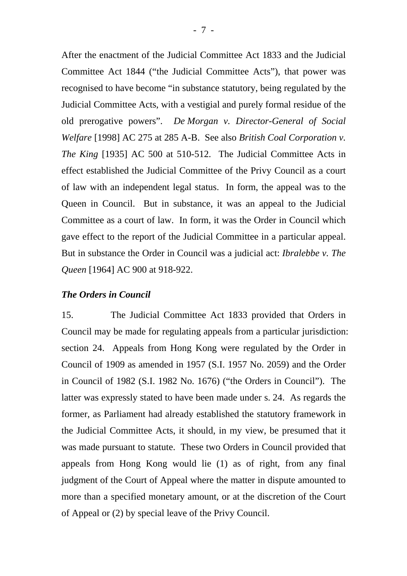After the enactment of the Judicial Committee Act 1833 and the Judicial Committee Act 1844 ("the Judicial Committee Acts"), that power was recognised to have become "in substance statutory, being regulated by the Judicial Committee Acts, with a vestigial and purely formal residue of the old prerogative powers". *De Morgan v. Director-General of Social Welfare* [1998] AC 275 at 285 A-B. See also *British Coal Corporation v. The King* [1935] AC 500 at 510-512. The Judicial Committee Acts in effect established the Judicial Committee of the Privy Council as a court of law with an independent legal status. In form, the appeal was to the Queen in Council. But in substance, it was an appeal to the Judicial Committee as a court of law. In form, it was the Order in Council which gave effect to the report of the Judicial Committee in a particular appeal. But in substance the Order in Council was a judicial act: *Ibralebbe v. The Queen* [1964] AC 900 at 918-922.

#### *The Orders in Council*

15. The Judicial Committee Act 1833 provided that Orders in Council may be made for regulating appeals from a particular jurisdiction: section 24. Appeals from Hong Kong were regulated by the Order in Council of 1909 as amended in 1957 (S.I. 1957 No. 2059) and the Order in Council of 1982 (S.I. 1982 No. 1676) ("the Orders in Council"). The latter was expressly stated to have been made under s. 24. As regards the former, as Parliament had already established the statutory framework in the Judicial Committee Acts, it should, in my view, be presumed that it was made pursuant to statute. These two Orders in Council provided that appeals from Hong Kong would lie (1) as of right, from any final judgment of the Court of Appeal where the matter in dispute amounted to more than a specified monetary amount, or at the discretion of the Court of Appeal or (2) by special leave of the Privy Council.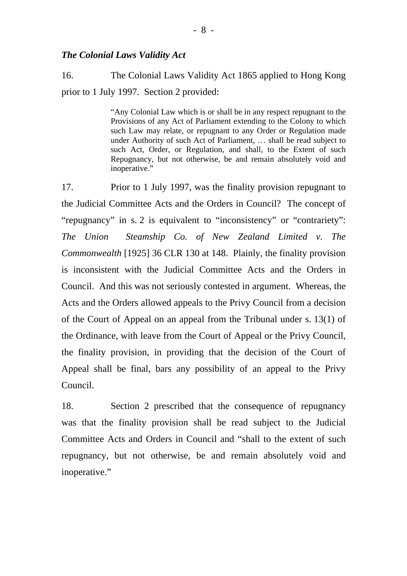#### *The Colonial Laws Validity Act*

16. The Colonial Laws Validity Act 1865 applied to Hong Kong prior to 1 July 1997. Section 2 provided:

> "Any Colonial Law which is or shall be in any respect repugnant to the Provisions of any Act of Parliament extending to the Colony to which such Law may relate, or repugnant to any Order or Regulation made under Authority of such Act of Parliament, … shall be read subject to such Act, Order, or Regulation, and shall, to the Extent of such Repugnancy, but not otherwise, be and remain absolutely void and inoperative."

17. Prior to 1 July 1997, was the finality provision repugnant to the Judicial Committee Acts and the Orders in Council? The concept of "repugnancy" in s. 2 is equivalent to "inconsistency" or "contrariety": *The Union Steamship Co. of New Zealand Limited v. The Commonwealth* [1925] 36 CLR 130 at 148. Plainly, the finality provision is inconsistent with the Judicial Committee Acts and the Orders in Council. And this was not seriously contested in argument. Whereas, the Acts and the Orders allowed appeals to the Privy Council from a decision of the Court of Appeal on an appeal from the Tribunal under s. 13(1) of the Ordinance, with leave from the Court of Appeal or the Privy Council, the finality provision, in providing that the decision of the Court of Appeal shall be final, bars any possibility of an appeal to the Privy Council.

18. Section 2 prescribed that the consequence of repugnancy was that the finality provision shall be read subject to the Judicial Committee Acts and Orders in Council and "shall to the extent of such repugnancy, but not otherwise, be and remain absolutely void and inoperative."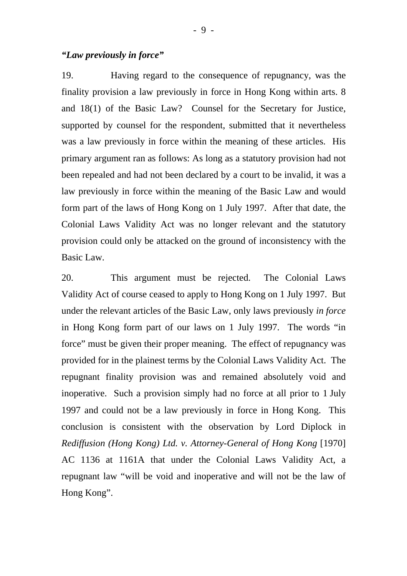#### *"Law previously in force"*

19. Having regard to the consequence of repugnancy, was the finality provision a law previously in force in Hong Kong within arts. 8 and 18(1) of the Basic Law? Counsel for the Secretary for Justice, supported by counsel for the respondent, submitted that it nevertheless was a law previously in force within the meaning of these articles. His primary argument ran as follows: As long as a statutory provision had not been repealed and had not been declared by a court to be invalid, it was a law previously in force within the meaning of the Basic Law and would form part of the laws of Hong Kong on 1 July 1997. After that date, the Colonial Laws Validity Act was no longer relevant and the statutory provision could only be attacked on the ground of inconsistency with the Basic Law.

20. This argument must be rejected. The Colonial Laws Validity Act of course ceased to apply to Hong Kong on 1 July 1997. But under the relevant articles of the Basic Law, only laws previously *in force* in Hong Kong form part of our laws on 1 July 1997. The words "in force" must be given their proper meaning. The effect of repugnancy was provided for in the plainest terms by the Colonial Laws Validity Act. The repugnant finality provision was and remained absolutely void and inoperative. Such a provision simply had no force at all prior to 1 July 1997 and could not be a law previously in force in Hong Kong. This conclusion is consistent with the observation by Lord Diplock in *Rediffusion (Hong Kong) Ltd. v. Attorney-General of Hong Kong [1970]* AC 1136 at 1161A that under the Colonial Laws Validity Act, a repugnant law "will be void and inoperative and will not be the law of Hong Kong".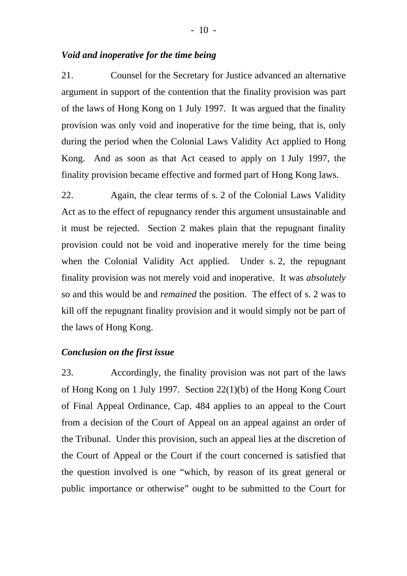21. Counsel for the Secretary for Justice advanced an alternative argument in support of the contention that the finality provision was part of the laws of Hong Kong on 1 July 1997. It was argued that the finality provision was only void and inoperative for the time being, that is, only during the period when the Colonial Laws Validity Act applied to Hong Kong. And as soon as that Act ceased to apply on 1 July 1997, the finality provision became effective and formed part of Hong Kong laws.

22. Again, the clear terms of s. 2 of the Colonial Laws Validity Act as to the effect of repugnancy render this argument unsustainable and it must be rejected. Section 2 makes plain that the repugnant finality provision could not be void and inoperative merely for the time being when the Colonial Validity Act applied. Under s. 2, the repugnant finality provision was not merely void and inoperative. It was *absolutely* so and this would be and *remained* the position. The effect of s. 2 was to kill off the repugnant finality provision and it would simply not be part of the laws of Hong Kong.

#### *Conclusion on the first issue*

23. Accordingly, the finality provision was not part of the laws of Hong Kong on 1 July 1997. Section 22(1)(b) of the Hong Kong Court of Final Appeal Ordinance, Cap. 484 applies to an appeal to the Court from a decision of the Court of Appeal on an appeal against an order of the Tribunal. Under this provision, such an appeal lies at the discretion of the Court of Appeal or the Court if the court concerned is satisfied that the question involved is one "which, by reason of its great general or public importance or otherwise" ought to be submitted to the Court for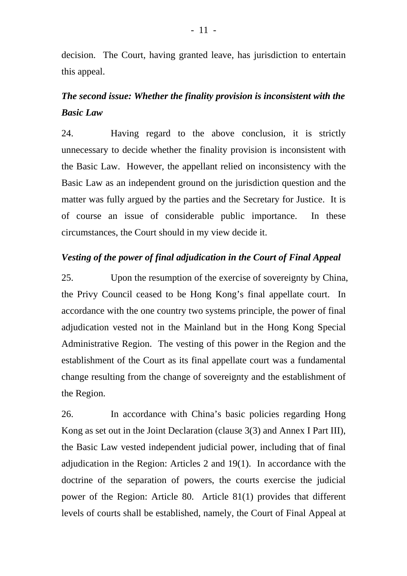decision. The Court, having granted leave, has jurisdiction to entertain this appeal.

# *The second issue: Whether the finality provision is inconsistent with the Basic Law*

24. Having regard to the above conclusion, it is strictly unnecessary to decide whether the finality provision is inconsistent with the Basic Law. However, the appellant relied on inconsistency with the Basic Law as an independent ground on the jurisdiction question and the matter was fully argued by the parties and the Secretary for Justice. It is of course an issue of considerable public importance. In these circumstances, the Court should in my view decide it.

#### *Vesting of the power of final adjudication in the Court of Final Appeal*

25. Upon the resumption of the exercise of sovereignty by China, the Privy Council ceased to be Hong Kong's final appellate court. In accordance with the one country two systems principle, the power of final adjudication vested not in the Mainland but in the Hong Kong Special Administrative Region. The vesting of this power in the Region and the establishment of the Court as its final appellate court was a fundamental change resulting from the change of sovereignty and the establishment of the Region.

26. In accordance with China's basic policies regarding Hong Kong as set out in the Joint Declaration (clause 3(3) and Annex I Part III), the Basic Law vested independent judicial power, including that of final adjudication in the Region: Articles 2 and 19(1). In accordance with the doctrine of the separation of powers, the courts exercise the judicial power of the Region: Article 80. Article 81(1) provides that different levels of courts shall be established, namely, the Court of Final Appeal at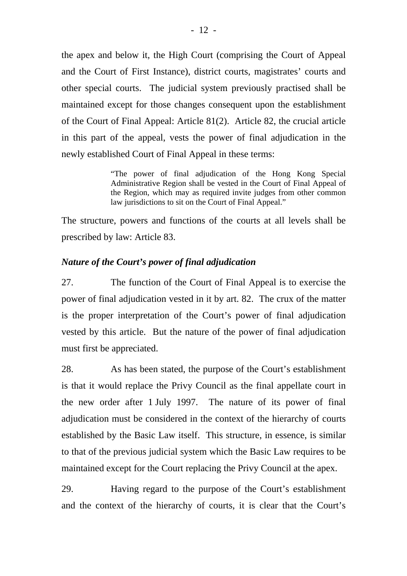the apex and below it, the High Court (comprising the Court of Appeal and the Court of First Instance), district courts, magistrates' courts and other special courts. The judicial system previously practised shall be maintained except for those changes consequent upon the establishment of the Court of Final Appeal: Article 81(2). Article 82, the crucial article in this part of the appeal, vests the power of final adjudication in the newly established Court of Final Appeal in these terms:

> "The power of final adjudication of the Hong Kong Special Administrative Region shall be vested in the Court of Final Appeal of the Region, which may as required invite judges from other common law jurisdictions to sit on the Court of Final Appeal."

The structure, powers and functions of the courts at all levels shall be prescribed by law: Article 83.

#### *Nature of the Court's power of final adjudication*

27. The function of the Court of Final Appeal is to exercise the power of final adjudication vested in it by art. 82. The crux of the matter is the proper interpretation of the Court's power of final adjudication vested by this article. But the nature of the power of final adjudication must first be appreciated.

28. As has been stated, the purpose of the Court's establishment is that it would replace the Privy Council as the final appellate court in the new order after 1 July 1997. The nature of its power of final adjudication must be considered in the context of the hierarchy of courts established by the Basic Law itself. This structure, in essence, is similar to that of the previous judicial system which the Basic Law requires to be maintained except for the Court replacing the Privy Council at the apex.

29. Having regard to the purpose of the Court's establishment and the context of the hierarchy of courts, it is clear that the Court's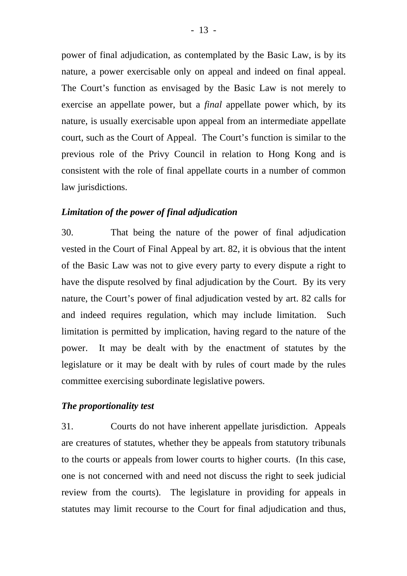power of final adjudication, as contemplated by the Basic Law, is by its nature, a power exercisable only on appeal and indeed on final appeal. The Court's function as envisaged by the Basic Law is not merely to exercise an appellate power, but a *final* appellate power which, by its nature, is usually exercisable upon appeal from an intermediate appellate court, such as the Court of Appeal. The Court's function is similar to the previous role of the Privy Council in relation to Hong Kong and is consistent with the role of final appellate courts in a number of common law jurisdictions.

#### *Limitation of the power of final adjudication*

30. That being the nature of the power of final adjudication vested in the Court of Final Appeal by art. 82, it is obvious that the intent of the Basic Law was not to give every party to every dispute a right to have the dispute resolved by final adjudication by the Court. By its very nature, the Court's power of final adjudication vested by art. 82 calls for and indeed requires regulation, which may include limitation. Such limitation is permitted by implication, having regard to the nature of the power. It may be dealt with by the enactment of statutes by the legislature or it may be dealt with by rules of court made by the rules committee exercising subordinate legislative powers.

#### *The proportionality test*

31. Courts do not have inherent appellate jurisdiction. Appeals are creatures of statutes, whether they be appeals from statutory tribunals to the courts or appeals from lower courts to higher courts. (In this case, one is not concerned with and need not discuss the right to seek judicial review from the courts). The legislature in providing for appeals in statutes may limit recourse to the Court for final adjudication and thus,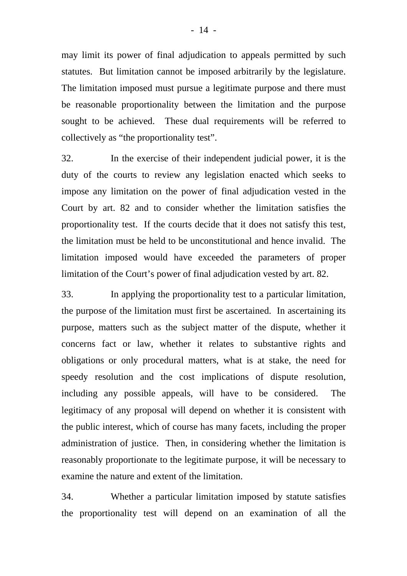may limit its power of final adjudication to appeals permitted by such statutes. But limitation cannot be imposed arbitrarily by the legislature. The limitation imposed must pursue a legitimate purpose and there must be reasonable proportionality between the limitation and the purpose sought to be achieved. These dual requirements will be referred to collectively as "the proportionality test".

32. In the exercise of their independent judicial power, it is the duty of the courts to review any legislation enacted which seeks to impose any limitation on the power of final adjudication vested in the Court by art. 82 and to consider whether the limitation satisfies the proportionality test. If the courts decide that it does not satisfy this test, the limitation must be held to be unconstitutional and hence invalid. The limitation imposed would have exceeded the parameters of proper limitation of the Court's power of final adjudication vested by art. 82.

33. In applying the proportionality test to a particular limitation, the purpose of the limitation must first be ascertained. In ascertaining its purpose, matters such as the subject matter of the dispute, whether it concerns fact or law, whether it relates to substantive rights and obligations or only procedural matters, what is at stake, the need for speedy resolution and the cost implications of dispute resolution, including any possible appeals, will have to be considered. The legitimacy of any proposal will depend on whether it is consistent with the public interest, which of course has many facets, including the proper administration of justice. Then, in considering whether the limitation is reasonably proportionate to the legitimate purpose, it will be necessary to examine the nature and extent of the limitation.

34. Whether a particular limitation imposed by statute satisfies the proportionality test will depend on an examination of all the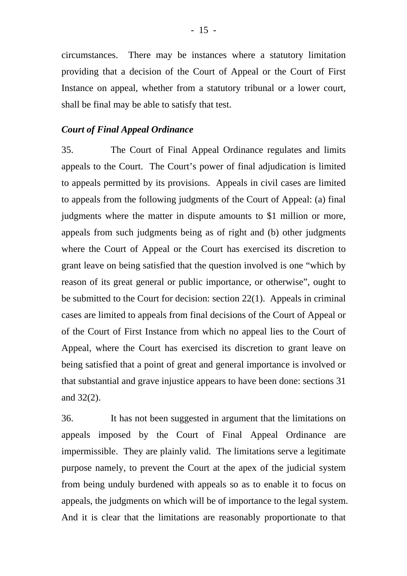circumstances. There may be instances where a statutory limitation providing that a decision of the Court of Appeal or the Court of First Instance on appeal, whether from a statutory tribunal or a lower court, shall be final may be able to satisfy that test.

#### *Court of Final Appeal Ordinance*

35. The Court of Final Appeal Ordinance regulates and limits appeals to the Court. The Court's power of final adjudication is limited to appeals permitted by its provisions. Appeals in civil cases are limited to appeals from the following judgments of the Court of Appeal: (a) final judgments where the matter in dispute amounts to \$1 million or more, appeals from such judgments being as of right and (b) other judgments where the Court of Appeal or the Court has exercised its discretion to grant leave on being satisfied that the question involved is one "which by reason of its great general or public importance, or otherwise", ought to be submitted to the Court for decision: section 22(1). Appeals in criminal cases are limited to appeals from final decisions of the Court of Appeal or of the Court of First Instance from which no appeal lies to the Court of Appeal, where the Court has exercised its discretion to grant leave on being satisfied that a point of great and general importance is involved or that substantial and grave injustice appears to have been done: sections 31 and 32(2).

36. It has not been suggested in argument that the limitations on appeals imposed by the Court of Final Appeal Ordinance are impermissible. They are plainly valid. The limitations serve a legitimate purpose namely, to prevent the Court at the apex of the judicial system from being unduly burdened with appeals so as to enable it to focus on appeals, the judgments on which will be of importance to the legal system. And it is clear that the limitations are reasonably proportionate to that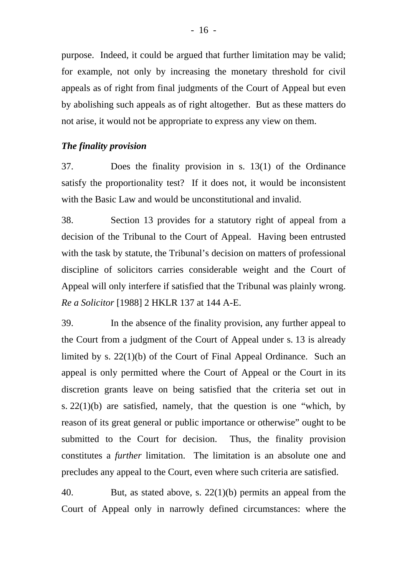purpose. Indeed, it could be argued that further limitation may be valid; for example, not only by increasing the monetary threshold for civil appeals as of right from final judgments of the Court of Appeal but even by abolishing such appeals as of right altogether. But as these matters do not arise, it would not be appropriate to express any view on them.

#### *The finality provision*

37. Does the finality provision in s. 13(1) of the Ordinance satisfy the proportionality test? If it does not, it would be inconsistent with the Basic Law and would be unconstitutional and invalid.

38. Section 13 provides for a statutory right of appeal from a decision of the Tribunal to the Court of Appeal. Having been entrusted with the task by statute, the Tribunal's decision on matters of professional discipline of solicitors carries considerable weight and the Court of Appeal will only interfere if satisfied that the Tribunal was plainly wrong. *Re a Solicitor* [1988] 2 HKLR 137 at 144 A-E.

39. In the absence of the finality provision, any further appeal to the Court from a judgment of the Court of Appeal under s. 13 is already limited by s. 22(1)(b) of the Court of Final Appeal Ordinance. Such an appeal is only permitted where the Court of Appeal or the Court in its discretion grants leave on being satisfied that the criteria set out in s. 22(1)(b) are satisfied, namely, that the question is one "which, by reason of its great general or public importance or otherwise" ought to be submitted to the Court for decision. Thus, the finality provision constitutes a *further* limitation. The limitation is an absolute one and precludes any appeal to the Court, even where such criteria are satisfied.

40. But, as stated above, s. 22(1)(b) permits an appeal from the Court of Appeal only in narrowly defined circumstances: where the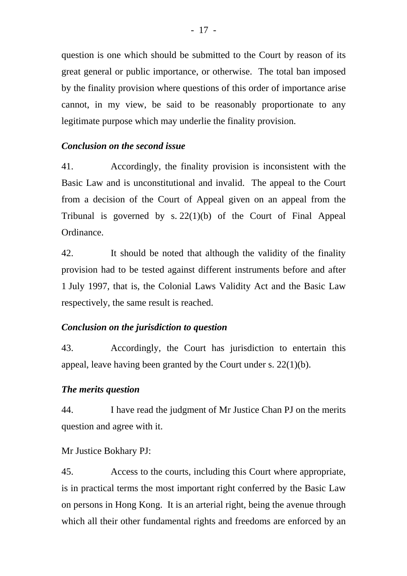question is one which should be submitted to the Court by reason of its great general or public importance, or otherwise. The total ban imposed by the finality provision where questions of this order of importance arise cannot, in my view, be said to be reasonably proportionate to any legitimate purpose which may underlie the finality provision.

#### *Conclusion on the second issue*

41. Accordingly, the finality provision is inconsistent with the Basic Law and is unconstitutional and invalid. The appeal to the Court from a decision of the Court of Appeal given on an appeal from the Tribunal is governed by s. 22(1)(b) of the Court of Final Appeal Ordinance.

42. It should be noted that although the validity of the finality provision had to be tested against different instruments before and after 1 July 1997, that is, the Colonial Laws Validity Act and the Basic Law respectively, the same result is reached.

#### *Conclusion on the jurisdiction to question*

43. Accordingly, the Court has jurisdiction to entertain this appeal, leave having been granted by the Court under s. 22(1)(b).

#### *The merits question*

44. I have read the judgment of Mr Justice Chan PJ on the merits question and agree with it.

#### Mr Justice Bokhary PJ:

45. Access to the courts, including this Court where appropriate, is in practical terms the most important right conferred by the Basic Law on persons in Hong Kong. It is an arterial right, being the avenue through which all their other fundamental rights and freedoms are enforced by an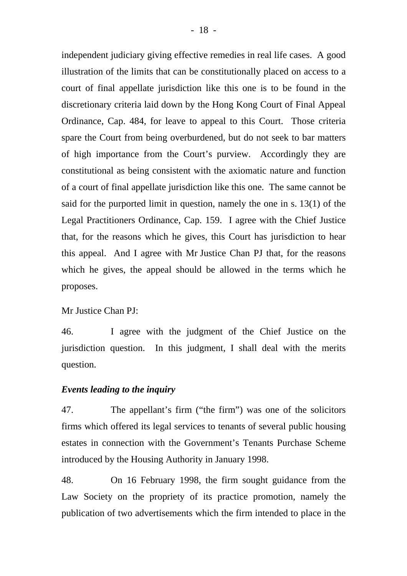independent judiciary giving effective remedies in real life cases. A good illustration of the limits that can be constitutionally placed on access to a court of final appellate jurisdiction like this one is to be found in the discretionary criteria laid down by the Hong Kong Court of Final Appeal Ordinance, Cap. 484, for leave to appeal to this Court. Those criteria spare the Court from being overburdened, but do not seek to bar matters of high importance from the Court's purview. Accordingly they are constitutional as being consistent with the axiomatic nature and function of a court of final appellate jurisdiction like this one. The same cannot be said for the purported limit in question, namely the one in s. 13(1) of the Legal Practitioners Ordinance, Cap. 159. I agree with the Chief Justice that, for the reasons which he gives, this Court has jurisdiction to hear this appeal. And I agree with Mr Justice Chan PJ that, for the reasons which he gives, the appeal should be allowed in the terms which he proposes.

Mr Justice Chan PJ:

46. I agree with the judgment of the Chief Justice on the jurisdiction question. In this judgment, I shall deal with the merits question.

#### *Events leading to the inquiry*

47. The appellant's firm ("the firm") was one of the solicitors firms which offered its legal services to tenants of several public housing estates in connection with the Government's Tenants Purchase Scheme introduced by the Housing Authority in January 1998.

48. On 16 February 1998, the firm sought guidance from the Law Society on the propriety of its practice promotion, namely the publication of two advertisements which the firm intended to place in the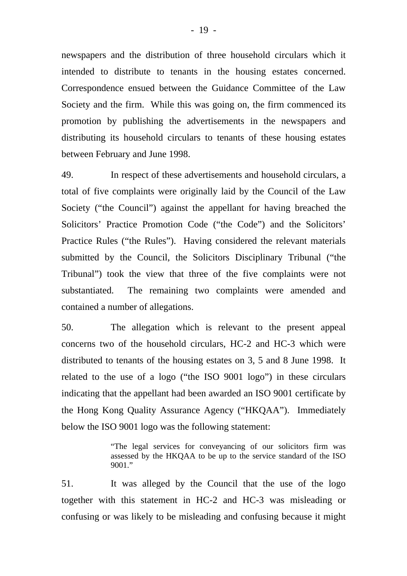newspapers and the distribution of three household circulars which it intended to distribute to tenants in the housing estates concerned. Correspondence ensued between the Guidance Committee of the Law Society and the firm. While this was going on, the firm commenced its promotion by publishing the advertisements in the newspapers and distributing its household circulars to tenants of these housing estates between February and June 1998.

49. In respect of these advertisements and household circulars, a total of five complaints were originally laid by the Council of the Law Society ("the Council") against the appellant for having breached the Solicitors' Practice Promotion Code ("the Code") and the Solicitors' Practice Rules ("the Rules"). Having considered the relevant materials submitted by the Council, the Solicitors Disciplinary Tribunal ("the Tribunal") took the view that three of the five complaints were not substantiated. The remaining two complaints were amended and contained a number of allegations.

50. The allegation which is relevant to the present appeal concerns two of the household circulars, HC-2 and HC-3 which were distributed to tenants of the housing estates on 3, 5 and 8 June 1998. It related to the use of a logo ("the ISO 9001 logo") in these circulars indicating that the appellant had been awarded an ISO 9001 certificate by the Hong Kong Quality Assurance Agency ("HKQAA"). Immediately below the ISO 9001 logo was the following statement:

> "The legal services for conveyancing of our solicitors firm was assessed by the HKQAA to be up to the service standard of the ISO  $9001$  "

51. It was alleged by the Council that the use of the logo together with this statement in HC-2 and HC-3 was misleading or confusing or was likely to be misleading and confusing because it might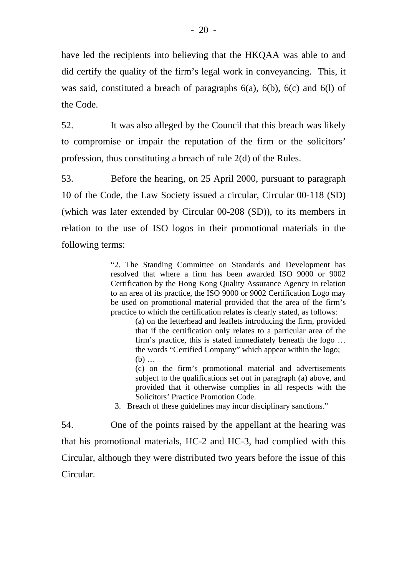have led the recipients into believing that the HKQAA was able to and did certify the quality of the firm's legal work in conveyancing. This, it was said, constituted a breach of paragraphs  $6(a)$ ,  $6(b)$ ,  $6(c)$  and  $6(1)$  of the Code.

52. It was also alleged by the Council that this breach was likely to compromise or impair the reputation of the firm or the solicitors' profession, thus constituting a breach of rule 2(d) of the Rules.

53. Before the hearing, on 25 April 2000, pursuant to paragraph 10 of the Code, the Law Society issued a circular, Circular 00-118 (SD) (which was later extended by Circular 00-208 (SD)), to its members in relation to the use of ISO logos in their promotional materials in the following terms:

> "2. The Standing Committee on Standards and Development has resolved that where a firm has been awarded ISO 9000 or 9002 Certification by the Hong Kong Quality Assurance Agency in relation to an area of its practice, the ISO 9000 or 9002 Certification Logo may be used on promotional material provided that the area of the firm's practice to which the certification relates is clearly stated, as follows:

 (a) on the letterhead and leaflets introducing the firm, provided that if the certification only relates to a particular area of the firm's practice, this is stated immediately beneath the logo … the words "Certified Company" which appear within the logo; (b) …

 (c) on the firm's promotional material and advertisements subject to the qualifications set out in paragraph (a) above, and provided that it otherwise complies in all respects with the Solicitors' Practice Promotion Code.

3. Breach of these guidelines may incur disciplinary sanctions."

54. One of the points raised by the appellant at the hearing was that his promotional materials, HC-2 and HC-3, had complied with this Circular, although they were distributed two years before the issue of this Circular.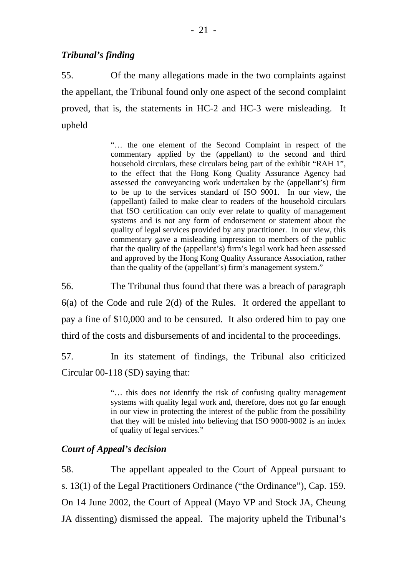#### *Tribunal's finding*

55. Of the many allegations made in the two complaints against the appellant, the Tribunal found only one aspect of the second complaint proved, that is, the statements in HC-2 and HC-3 were misleading. It upheld

> "… the one element of the Second Complaint in respect of the commentary applied by the (appellant) to the second and third household circulars, these circulars being part of the exhibit "RAH 1", to the effect that the Hong Kong Quality Assurance Agency had assessed the conveyancing work undertaken by the (appellant's) firm to be up to the services standard of ISO 9001. In our view, the (appellant) failed to make clear to readers of the household circulars that ISO certification can only ever relate to quality of management systems and is not any form of endorsement or statement about the quality of legal services provided by any practitioner. In our view, this commentary gave a misleading impression to members of the public that the quality of the (appellant's) firm's legal work had been assessed and approved by the Hong Kong Quality Assurance Association, rather than the quality of the (appellant's) firm's management system."

56. The Tribunal thus found that there was a breach of paragraph 6(a) of the Code and rule 2(d) of the Rules. It ordered the appellant to pay a fine of \$10,000 and to be censured. It also ordered him to pay one third of the costs and disbursements of and incidental to the proceedings.

57. In its statement of findings, the Tribunal also criticized Circular 00-118 (SD) saying that:

> "… this does not identify the risk of confusing quality management systems with quality legal work and, therefore, does not go far enough in our view in protecting the interest of the public from the possibility that they will be misled into believing that ISO 9000-9002 is an index of quality of legal services."

#### *Court of Appeal's decision*

58. The appellant appealed to the Court of Appeal pursuant to s. 13(1) of the Legal Practitioners Ordinance ("the Ordinance"), Cap. 159. On 14 June 2002, the Court of Appeal (Mayo VP and Stock JA, Cheung JA dissenting) dismissed the appeal. The majority upheld the Tribunal's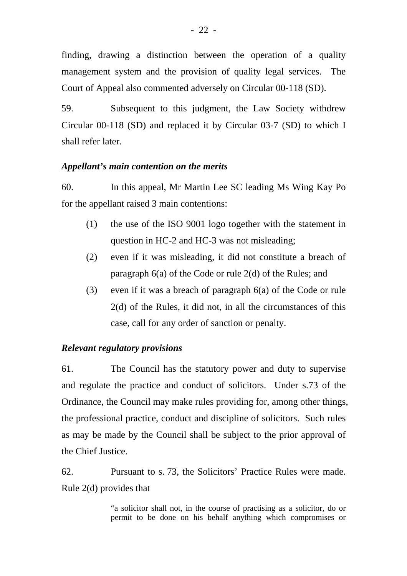finding, drawing a distinction between the operation of a quality management system and the provision of quality legal services. The Court of Appeal also commented adversely on Circular 00-118 (SD).

59. Subsequent to this judgment, the Law Society withdrew Circular 00-118 (SD) and replaced it by Circular 03-7 (SD) to which I shall refer later.

# *Appellant's main contention on the merits*

60. In this appeal, Mr Martin Lee SC leading Ms Wing Kay Po for the appellant raised 3 main contentions:

- (1) the use of the ISO 9001 logo together with the statement in question in HC-2 and HC-3 was not misleading;
- (2) even if it was misleading, it did not constitute a breach of paragraph 6(a) of the Code or rule 2(d) of the Rules; and
- (3) even if it was a breach of paragraph 6(a) of the Code or rule 2(d) of the Rules, it did not, in all the circumstances of this case, call for any order of sanction or penalty.

# *Relevant regulatory provisions*

61. The Council has the statutory power and duty to supervise and regulate the practice and conduct of solicitors. Under s.73 of the Ordinance, the Council may make rules providing for, among other things, the professional practice, conduct and discipline of solicitors. Such rules as may be made by the Council shall be subject to the prior approval of the Chief Justice.

62. Pursuant to s. 73, the Solicitors' Practice Rules were made. Rule 2(d) provides that

> "a solicitor shall not, in the course of practising as a solicitor, do or permit to be done on his behalf anything which compromises or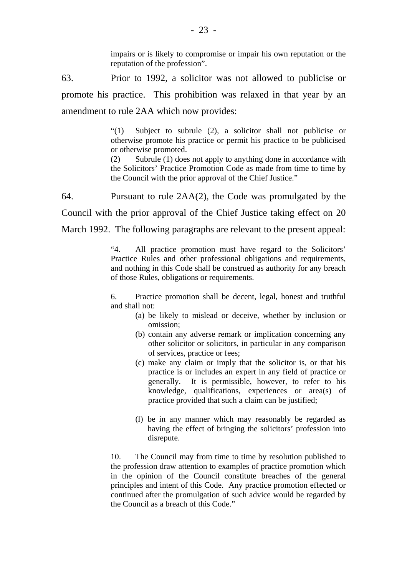impairs or is likely to compromise or impair his own reputation or the reputation of the profession".

63. Prior to 1992, a solicitor was not allowed to publicise or promote his practice. This prohibition was relaxed in that year by an amendment to rule 2AA which now provides:

> "(1) Subject to subrule (2), a solicitor shall not publicise or otherwise promote his practice or permit his practice to be publicised or otherwise promoted.

> (2) Subrule (1) does not apply to anything done in accordance with the Solicitors' Practice Promotion Code as made from time to time by the Council with the prior approval of the Chief Justice."

64. Pursuant to rule 2AA(2), the Code was promulgated by the Council with the prior approval of the Chief Justice taking effect on 20 March 1992. The following paragraphs are relevant to the present appeal:

> "4. All practice promotion must have regard to the Solicitors' Practice Rules and other professional obligations and requirements, and nothing in this Code shall be construed as authority for any breach of those Rules, obligations or requirements.

> 6. Practice promotion shall be decent, legal, honest and truthful and shall not:

- (a) be likely to mislead or deceive, whether by inclusion or omission;
- (b) contain any adverse remark or implication concerning any other solicitor or solicitors, in particular in any comparison of services, practice or fees;
- (c) make any claim or imply that the solicitor is, or that his practice is or includes an expert in any field of practice or generally. It is permissible, however, to refer to his knowledge, qualifications, experiences or area(s) of practice provided that such a claim can be justified;
- (l) be in any manner which may reasonably be regarded as having the effect of bringing the solicitors' profession into disrepute.

10. The Council may from time to time by resolution published to the profession draw attention to examples of practice promotion which in the opinion of the Council constitute breaches of the general principles and intent of this Code. Any practice promotion effected or continued after the promulgation of such advice would be regarded by the Council as a breach of this Code."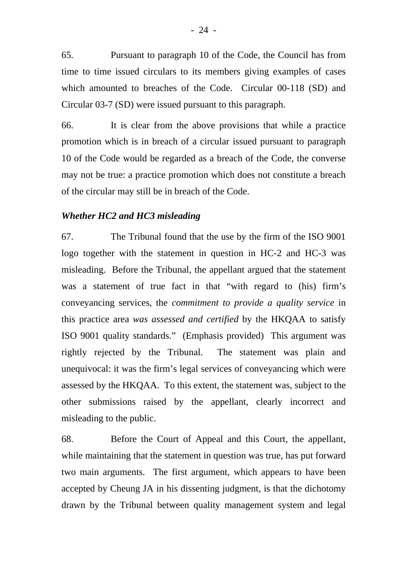65. Pursuant to paragraph 10 of the Code, the Council has from time to time issued circulars to its members giving examples of cases which amounted to breaches of the Code. Circular 00-118 (SD) and Circular 03-7 (SD) were issued pursuant to this paragraph.

66. It is clear from the above provisions that while a practice promotion which is in breach of a circular issued pursuant to paragraph 10 of the Code would be regarded as a breach of the Code, the converse may not be true: a practice promotion which does not constitute a breach of the circular may still be in breach of the Code.

#### *Whether HC2 and HC3 misleading*

67. The Tribunal found that the use by the firm of the ISO 9001 logo together with the statement in question in HC-2 and HC-3 was misleading. Before the Tribunal, the appellant argued that the statement was a statement of true fact in that "with regard to (his) firm's conveyancing services, the *commitment to provide a quality service* in this practice area *was assessed and certified* by the HKQAA to satisfy ISO 9001 quality standards." (Emphasis provided) This argument was rightly rejected by the Tribunal. The statement was plain and unequivocal: it was the firm's legal services of conveyancing which were assessed by the HKQAA. To this extent, the statement was, subject to the other submissions raised by the appellant, clearly incorrect and misleading to the public.

68. Before the Court of Appeal and this Court, the appellant, while maintaining that the statement in question was true, has put forward two main arguments. The first argument, which appears to have been accepted by Cheung JA in his dissenting judgment, is that the dichotomy drawn by the Tribunal between quality management system and legal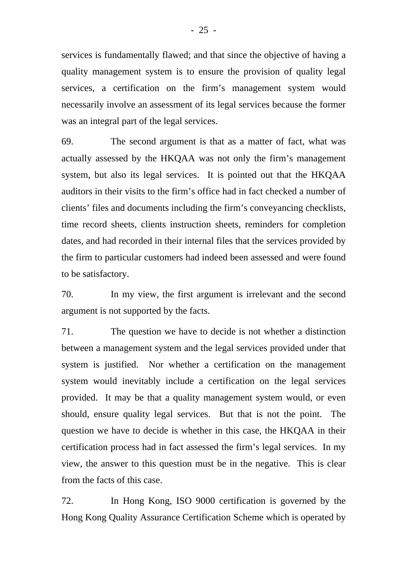services is fundamentally flawed; and that since the objective of having a quality management system is to ensure the provision of quality legal services, a certification on the firm's management system would necessarily involve an assessment of its legal services because the former was an integral part of the legal services.

69. The second argument is that as a matter of fact, what was actually assessed by the HKQAA was not only the firm's management system, but also its legal services. It is pointed out that the HKQAA auditors in their visits to the firm's office had in fact checked a number of clients' files and documents including the firm's conveyancing checklists, time record sheets, clients instruction sheets, reminders for completion dates, and had recorded in their internal files that the services provided by the firm to particular customers had indeed been assessed and were found to be satisfactory.

70. In my view, the first argument is irrelevant and the second argument is not supported by the facts.

71. The question we have to decide is not whether a distinction between a management system and the legal services provided under that system is justified. Nor whether a certification on the management system would inevitably include a certification on the legal services provided. It may be that a quality management system would, or even should, ensure quality legal services. But that is not the point. The question we have to decide is whether in this case, the HKQAA in their certification process had in fact assessed the firm's legal services. In my view, the answer to this question must be in the negative. This is clear from the facts of this case.

72. In Hong Kong, ISO 9000 certification is governed by the Hong Kong Quality Assurance Certification Scheme which is operated by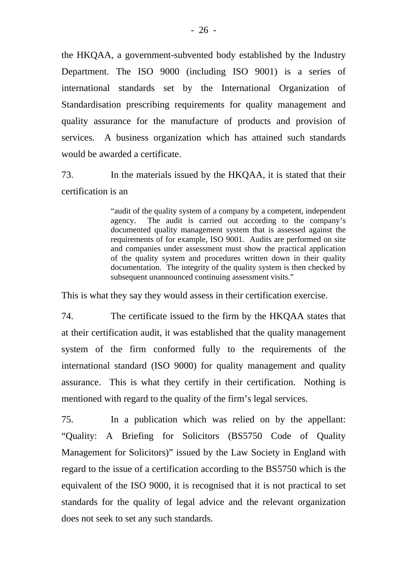the HKQAA, a government-subvented body established by the Industry Department. The ISO 9000 (including ISO 9001) is a series of international standards set by the International Organization of Standardisation prescribing requirements for quality management and quality assurance for the manufacture of products and provision of services. A business organization which has attained such standards would be awarded a certificate.

73. In the materials issued by the HKQAA, it is stated that their certification is an

> "audit of the quality system of a company by a competent, independent agency. The audit is carried out according to the company's documented quality management system that is assessed against the requirements of for example, ISO 9001. Audits are performed on site and companies under assessment must show the practical application of the quality system and procedures written down in their quality documentation. The integrity of the quality system is then checked by subsequent unannounced continuing assessment visits."

This is what they say they would assess in their certification exercise.

74. The certificate issued to the firm by the HKQAA states that at their certification audit, it was established that the quality management system of the firm conformed fully to the requirements of the international standard (ISO 9000) for quality management and quality assurance. This is what they certify in their certification. Nothing is mentioned with regard to the quality of the firm's legal services.

75. In a publication which was relied on by the appellant: "Quality: A Briefing for Solicitors (BS5750 Code of Quality Management for Solicitors)" issued by the Law Society in England with regard to the issue of a certification according to the BS5750 which is the equivalent of the ISO 9000, it is recognised that it is not practical to set standards for the quality of legal advice and the relevant organization does not seek to set any such standards.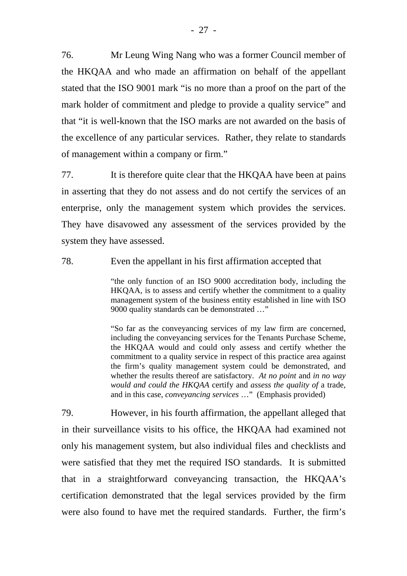76. Mr Leung Wing Nang who was a former Council member of the HKQAA and who made an affirmation on behalf of the appellant stated that the ISO 9001 mark "is no more than a proof on the part of the mark holder of commitment and pledge to provide a quality service" and that "it is well-known that the ISO marks are not awarded on the basis of the excellence of any particular services. Rather, they relate to standards of management within a company or firm."

77. It is therefore quite clear that the HKQAA have been at pains in asserting that they do not assess and do not certify the services of an enterprise, only the management system which provides the services. They have disavowed any assessment of the services provided by the system they have assessed.

78. Even the appellant in his first affirmation accepted that

"the only function of an ISO 9000 accreditation body, including the HKQAA, is to assess and certify whether the commitment to a quality management system of the business entity established in line with ISO 9000 quality standards can be demonstrated …"

"So far as the conveyancing services of my law firm are concerned, including the conveyancing services for the Tenants Purchase Scheme, the HKQAA would and could only assess and certify whether the commitment to a quality service in respect of this practice area against the firm's quality management system could be demonstrated, and whether the results thereof are satisfactory. *At no point* and *in no way would and could the HKQAA* certify and *assess the quality of* a trade, and in this case, *conveyancing services* …" (Emphasis provided)

79. However, in his fourth affirmation, the appellant alleged that in their surveillance visits to his office, the HKQAA had examined not only his management system, but also individual files and checklists and were satisfied that they met the required ISO standards. It is submitted that in a straightforward conveyancing transaction, the HKQAA's certification demonstrated that the legal services provided by the firm were also found to have met the required standards. Further, the firm's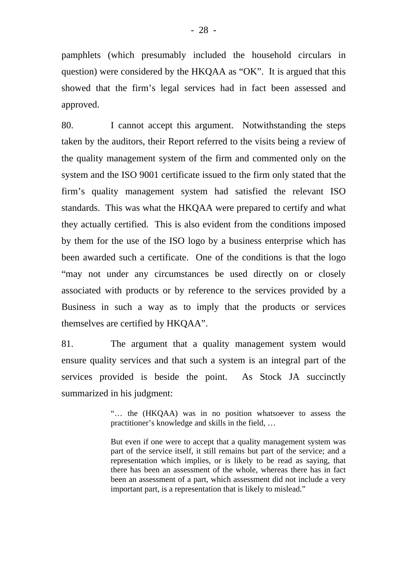pamphlets (which presumably included the household circulars in question) were considered by the HKQAA as "OK". It is argued that this showed that the firm's legal services had in fact been assessed and approved.

80. I cannot accept this argument. Notwithstanding the steps taken by the auditors, their Report referred to the visits being a review of the quality management system of the firm and commented only on the system and the ISO 9001 certificate issued to the firm only stated that the firm's quality management system had satisfied the relevant ISO standards. This was what the HKQAA were prepared to certify and what they actually certified. This is also evident from the conditions imposed by them for the use of the ISO logo by a business enterprise which has been awarded such a certificate. One of the conditions is that the logo "may not under any circumstances be used directly on or closely associated with products or by reference to the services provided by a Business in such a way as to imply that the products or services themselves are certified by HKQAA".

81. The argument that a quality management system would ensure quality services and that such a system is an integral part of the services provided is beside the point. As Stock JA succinctly summarized in his judgment:

> "… the (HKQAA) was in no position whatsoever to assess the practitioner's knowledge and skills in the field, …

> But even if one were to accept that a quality management system was part of the service itself, it still remains but part of the service; and a representation which implies, or is likely to be read as saying, that there has been an assessment of the whole, whereas there has in fact been an assessment of a part, which assessment did not include a very important part, is a representation that is likely to mislead."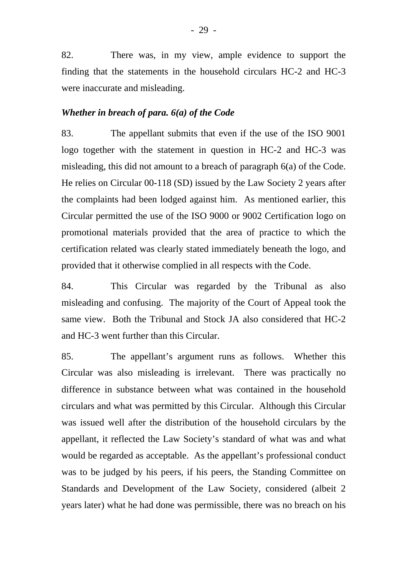82. There was, in my view, ample evidence to support the finding that the statements in the household circulars HC-2 and HC-3 were inaccurate and misleading.

#### *Whether in breach of para. 6(a) of the Code*

83. The appellant submits that even if the use of the ISO 9001 logo together with the statement in question in HC-2 and HC-3 was misleading, this did not amount to a breach of paragraph 6(a) of the Code. He relies on Circular 00-118 (SD) issued by the Law Society 2 years after the complaints had been lodged against him. As mentioned earlier, this Circular permitted the use of the ISO 9000 or 9002 Certification logo on promotional materials provided that the area of practice to which the certification related was clearly stated immediately beneath the logo, and provided that it otherwise complied in all respects with the Code.

84. This Circular was regarded by the Tribunal as also misleading and confusing. The majority of the Court of Appeal took the same view. Both the Tribunal and Stock JA also considered that HC-2 and HC-3 went further than this Circular.

85. The appellant's argument runs as follows. Whether this Circular was also misleading is irrelevant. There was practically no difference in substance between what was contained in the household circulars and what was permitted by this Circular. Although this Circular was issued well after the distribution of the household circulars by the appellant, it reflected the Law Society's standard of what was and what would be regarded as acceptable. As the appellant's professional conduct was to be judged by his peers, if his peers, the Standing Committee on Standards and Development of the Law Society, considered (albeit 2 years later) what he had done was permissible, there was no breach on his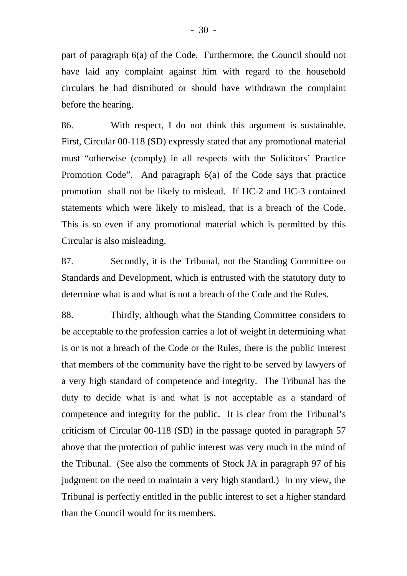part of paragraph 6(a) of the Code. Furthermore, the Council should not have laid any complaint against him with regard to the household circulars he had distributed or should have withdrawn the complaint before the hearing.

86. With respect, I do not think this argument is sustainable. First, Circular 00-118 (SD) expressly stated that any promotional material must "otherwise (comply) in all respects with the Solicitors' Practice Promotion Code". And paragraph 6(a) of the Code says that practice promotion shall not be likely to mislead. If HC-2 and HC-3 contained statements which were likely to mislead, that is a breach of the Code. This is so even if any promotional material which is permitted by this Circular is also misleading.

87. Secondly, it is the Tribunal, not the Standing Committee on Standards and Development, which is entrusted with the statutory duty to determine what is and what is not a breach of the Code and the Rules.

88. Thirdly, although what the Standing Committee considers to be acceptable to the profession carries a lot of weight in determining what is or is not a breach of the Code or the Rules, there is the public interest that members of the community have the right to be served by lawyers of a very high standard of competence and integrity. The Tribunal has the duty to decide what is and what is not acceptable as a standard of competence and integrity for the public. It is clear from the Tribunal's criticism of Circular 00-118 (SD) in the passage quoted in paragraph 57 above that the protection of public interest was very much in the mind of the Tribunal. (See also the comments of Stock JA in paragraph 97 of his judgment on the need to maintain a very high standard.) In my view, the Tribunal is perfectly entitled in the public interest to set a higher standard than the Council would for its members.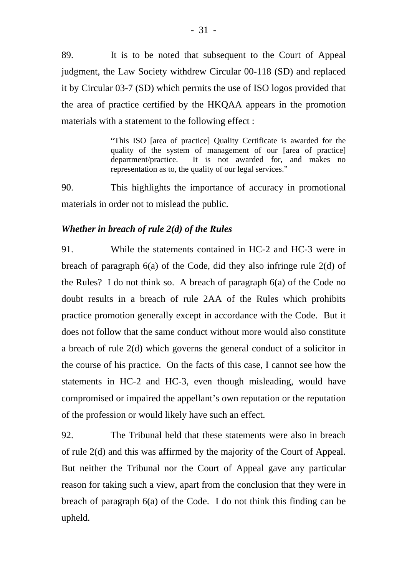89. It is to be noted that subsequent to the Court of Appeal judgment, the Law Society withdrew Circular 00-118 (SD) and replaced it by Circular 03-7 (SD) which permits the use of ISO logos provided that the area of practice certified by the HKQAA appears in the promotion materials with a statement to the following effect :

> "This ISO [area of practice] Quality Certificate is awarded for the quality of the system of management of our [area of practice] department/practice. It is not awarded for, and makes no representation as to, the quality of our legal services."

90. This highlights the importance of accuracy in promotional materials in order not to mislead the public.

#### *Whether in breach of rule 2(d) of the Rules*

91. While the statements contained in HC-2 and HC-3 were in breach of paragraph 6(a) of the Code, did they also infringe rule 2(d) of the Rules? I do not think so. A breach of paragraph 6(a) of the Code no doubt results in a breach of rule 2AA of the Rules which prohibits practice promotion generally except in accordance with the Code. But it does not follow that the same conduct without more would also constitute a breach of rule 2(d) which governs the general conduct of a solicitor in the course of his practice. On the facts of this case, I cannot see how the statements in HC-2 and HC-3, even though misleading, would have compromised or impaired the appellant's own reputation or the reputation of the profession or would likely have such an effect.

92. The Tribunal held that these statements were also in breach of rule 2(d) and this was affirmed by the majority of the Court of Appeal. But neither the Tribunal nor the Court of Appeal gave any particular reason for taking such a view, apart from the conclusion that they were in breach of paragraph 6(a) of the Code. I do not think this finding can be upheld.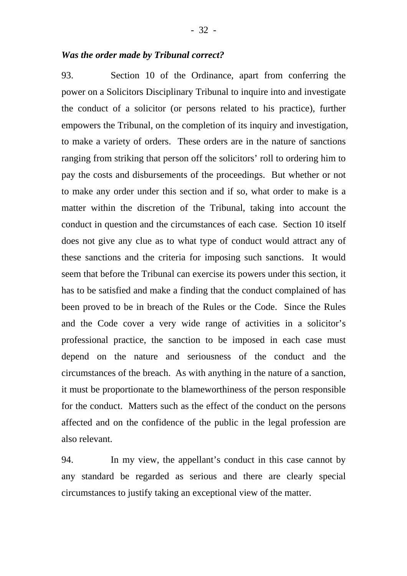#### *Was the order made by Tribunal correct?*

93. Section 10 of the Ordinance, apart from conferring the power on a Solicitors Disciplinary Tribunal to inquire into and investigate the conduct of a solicitor (or persons related to his practice), further empowers the Tribunal, on the completion of its inquiry and investigation, to make a variety of orders. These orders are in the nature of sanctions ranging from striking that person off the solicitors' roll to ordering him to pay the costs and disbursements of the proceedings. But whether or not to make any order under this section and if so, what order to make is a matter within the discretion of the Tribunal, taking into account the conduct in question and the circumstances of each case. Section 10 itself does not give any clue as to what type of conduct would attract any of these sanctions and the criteria for imposing such sanctions. It would seem that before the Tribunal can exercise its powers under this section, it has to be satisfied and make a finding that the conduct complained of has been proved to be in breach of the Rules or the Code. Since the Rules and the Code cover a very wide range of activities in a solicitor's professional practice, the sanction to be imposed in each case must depend on the nature and seriousness of the conduct and the circumstances of the breach. As with anything in the nature of a sanction, it must be proportionate to the blameworthiness of the person responsible for the conduct. Matters such as the effect of the conduct on the persons affected and on the confidence of the public in the legal profession are also relevant.

94. In my view, the appellant's conduct in this case cannot by any standard be regarded as serious and there are clearly special circumstances to justify taking an exceptional view of the matter.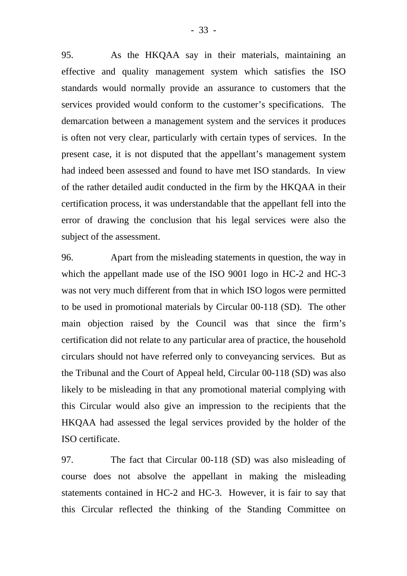95. As the HKQAA say in their materials, maintaining an effective and quality management system which satisfies the ISO standards would normally provide an assurance to customers that the services provided would conform to the customer's specifications. The demarcation between a management system and the services it produces is often not very clear, particularly with certain types of services. In the present case, it is not disputed that the appellant's management system had indeed been assessed and found to have met ISO standards. In view of the rather detailed audit conducted in the firm by the HKQAA in their certification process, it was understandable that the appellant fell into the error of drawing the conclusion that his legal services were also the subject of the assessment.

96. Apart from the misleading statements in question, the way in which the appellant made use of the ISO 9001 logo in HC-2 and HC-3 was not very much different from that in which ISO logos were permitted to be used in promotional materials by Circular 00-118 (SD). The other main objection raised by the Council was that since the firm's certification did not relate to any particular area of practice, the household circulars should not have referred only to conveyancing services. But as the Tribunal and the Court of Appeal held, Circular 00-118 (SD) was also likely to be misleading in that any promotional material complying with this Circular would also give an impression to the recipients that the HKQAA had assessed the legal services provided by the holder of the ISO certificate.

97. The fact that Circular 00-118 (SD) was also misleading of course does not absolve the appellant in making the misleading statements contained in HC-2 and HC-3. However, it is fair to say that this Circular reflected the thinking of the Standing Committee on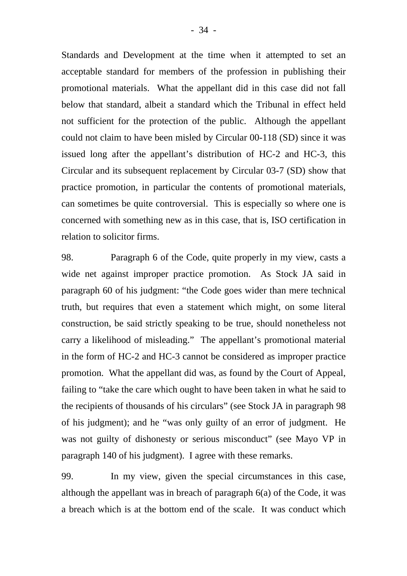Standards and Development at the time when it attempted to set an acceptable standard for members of the profession in publishing their promotional materials. What the appellant did in this case did not fall below that standard, albeit a standard which the Tribunal in effect held not sufficient for the protection of the public. Although the appellant could not claim to have been misled by Circular 00-118 (SD) since it was issued long after the appellant's distribution of HC-2 and HC-3, this Circular and its subsequent replacement by Circular 03-7 (SD) show that practice promotion, in particular the contents of promotional materials, can sometimes be quite controversial. This is especially so where one is concerned with something new as in this case, that is, ISO certification in relation to solicitor firms.

98. Paragraph 6 of the Code, quite properly in my view, casts a wide net against improper practice promotion. As Stock JA said in paragraph 60 of his judgment: "the Code goes wider than mere technical truth, but requires that even a statement which might, on some literal construction, be said strictly speaking to be true, should nonetheless not carry a likelihood of misleading." The appellant's promotional material in the form of HC-2 and HC-3 cannot be considered as improper practice promotion. What the appellant did was, as found by the Court of Appeal, failing to "take the care which ought to have been taken in what he said to the recipients of thousands of his circulars" (see Stock JA in paragraph 98 of his judgment); and he "was only guilty of an error of judgment. He was not guilty of dishonesty or serious misconduct" (see Mayo VP in paragraph 140 of his judgment). I agree with these remarks.

99. In my view, given the special circumstances in this case, although the appellant was in breach of paragraph 6(a) of the Code, it was a breach which is at the bottom end of the scale. It was conduct which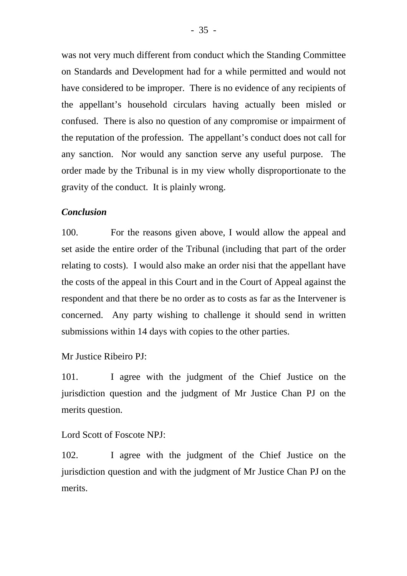was not very much different from conduct which the Standing Committee on Standards and Development had for a while permitted and would not have considered to be improper. There is no evidence of any recipients of the appellant's household circulars having actually been misled or confused. There is also no question of any compromise or impairment of the reputation of the profession. The appellant's conduct does not call for any sanction. Nor would any sanction serve any useful purpose. The order made by the Tribunal is in my view wholly disproportionate to the gravity of the conduct. It is plainly wrong.

#### *Conclusion*

100. For the reasons given above, I would allow the appeal and set aside the entire order of the Tribunal (including that part of the order relating to costs). I would also make an order nisi that the appellant have the costs of the appeal in this Court and in the Court of Appeal against the respondent and that there be no order as to costs as far as the Intervener is concerned. Any party wishing to challenge it should send in written submissions within 14 days with copies to the other parties.

Mr Justice Ribeiro PJ:

101. I agree with the judgment of the Chief Justice on the jurisdiction question and the judgment of Mr Justice Chan PJ on the merits question.

Lord Scott of Foscote NPJ:

102. I agree with the judgment of the Chief Justice on the jurisdiction question and with the judgment of Mr Justice Chan PJ on the merits.